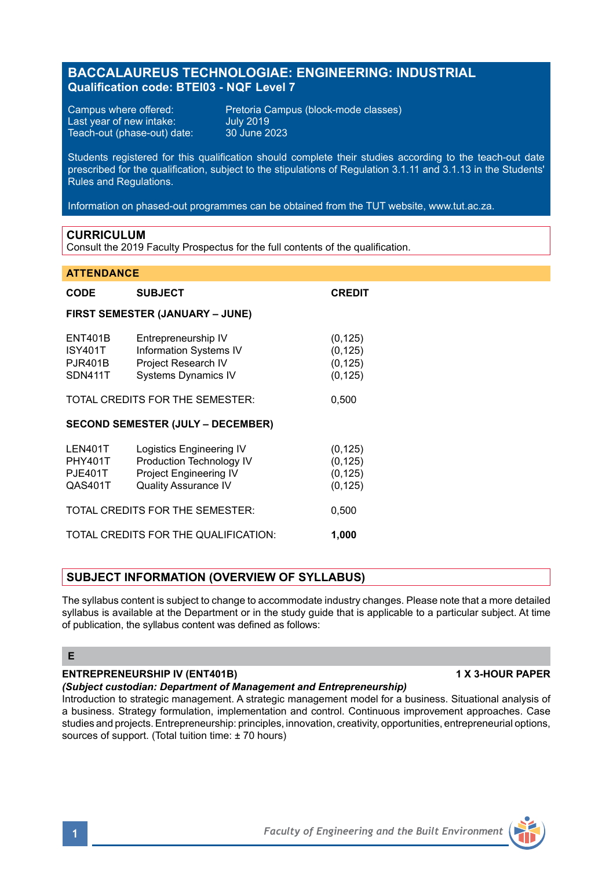# **BACCALAUREUS TECHNOLOGIAE: ENGINEERING: INDUSTRIAL Qualification code: BTEI03 - NQF Level 7**

Last year of new intake: July 2019 Teach-out (phase-out) date:

Campus where offered: Pretoria Campus (block-mode classes)

Students registered for this qualification should complete their studies according to the teach-out date prescribed for the qualification, subject to the stipulations of Regulation 3.1.11 and 3.1.13 in the Students' Rules and Regulations.

Information on phased-out programmes can be obtained from the TUT website, www.tut.ac.za.

#### **CURRICULUM**

Consult the 2019 Faculty Prospectus for the full contents of the qualification.

#### **ATTENDANCE**

| <b>CODE</b>                                            | <b>SUBJECT</b>                                                                                                | <b>CREDIT</b>                                |
|--------------------------------------------------------|---------------------------------------------------------------------------------------------------------------|----------------------------------------------|
| <b>FIRST SEMESTER (JANUARY – JUNE)</b>                 |                                                                                                               |                                              |
| <b>ENT401B</b><br>ISY401T<br><b>PJR401B</b><br>SDN411T | Entrepreneurship IV<br>Information Systems IV<br>Project Research IV<br><b>Systems Dynamics IV</b>            | (0, 125)<br>(0, 125)<br>(0, 125)<br>(0, 125) |
| TOTAL CREDITS FOR THE SEMESTER:                        |                                                                                                               | 0,500                                        |
| <b>SECOND SEMESTER (JULY – DECEMBER)</b>               |                                                                                                               |                                              |
| LEN401T<br><b>PHY401T</b><br><b>PJE401T</b><br>QAS401T | Logistics Engineering IV<br>Production Technology IV<br>Project Engineering IV<br><b>Quality Assurance IV</b> | (0, 125)<br>(0, 125)<br>(0, 125)<br>(0, 125) |
| TOTAL CREDITS FOR THE SEMESTER:                        |                                                                                                               | 0,500                                        |
| TOTAL CREDITS FOR THE QUALIFICATION:<br>1,000          |                                                                                                               |                                              |

# **SUBJECT INFORMATION (OVERVIEW OF SYLLABUS)**

The syllabus content is subject to change to accommodate industry changes. Please note that a more detailed syllabus is available at the Department or in the study guide that is applicable to a particular subject. At time of publication, the syllabus content was defined as follows:

# **E**

# **ENTREPRENEURSHIP IV (ENT401B) 1 X 3-HOUR PAPER**

# *(Subject custodian: Department of Management and Entrepreneurship)*

Introduction to strategic management. A strategic management model for a business. Situational analysis of a business. Strategy formulation, implementation and control. Continuous improvement approaches. Case studies and projects. Entrepreneurship: principles, innovation, creativity, opportunities, entrepreneurial options, sources of support. (Total tuition time: ± 70 hours)